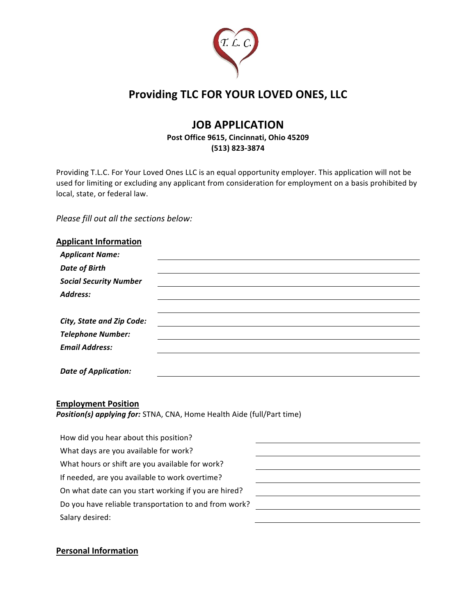

# **Providing TLC FOR YOUR LOVED ONES, LLC**

# **JOB APPLICATION**

**Post Office 9615, Cincinnati, Ohio 45209 (513) 823-3874**

Providing T.L.C. For Your Loved Ones LLC is an equal opportunity employer. This application will not be used for limiting or excluding any applicant from consideration for employment on a basis prohibited by local, state, or federal law.

*Please fill out all the sections below:* 

## **Applicant Information**

| <b>Applicant Name:</b>           |  |  |
|----------------------------------|--|--|
| <b>Date of Birth</b>             |  |  |
| <b>Social Security Number</b>    |  |  |
| Address:                         |  |  |
|                                  |  |  |
| <b>City, State and Zip Code:</b> |  |  |
| <b>Telephone Number:</b>         |  |  |
| <b>Email Address:</b>            |  |  |
|                                  |  |  |
| <b>Date of Application:</b>      |  |  |

### **Employment Position**

*Position(s)* applying for: STNA, CNA, Home Health Aide (full/Part time)

| How did you hear about this position?                 |  |
|-------------------------------------------------------|--|
| What days are you available for work?                 |  |
| What hours or shift are you available for work?       |  |
| If needed, are you available to work overtime?        |  |
| On what date can you start working if you are hired?  |  |
| Do you have reliable transportation to and from work? |  |
| Salary desired:                                       |  |

## **Personal Information**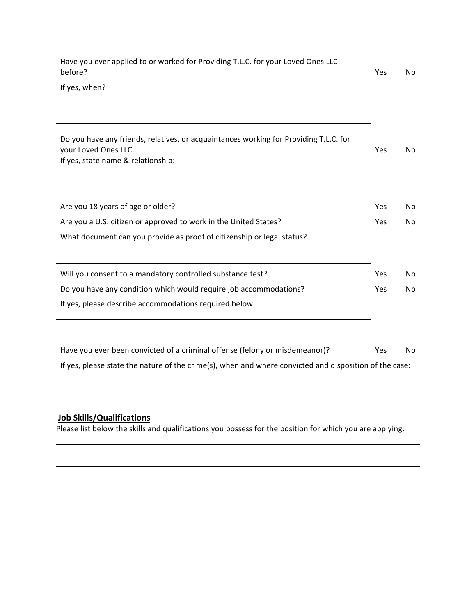| Have you ever applied to or worked for Providing T.L.C. for your Loved Ones LLC<br>before?                                                         | Yes | No. |
|----------------------------------------------------------------------------------------------------------------------------------------------------|-----|-----|
| If yes, when?                                                                                                                                      |     |     |
| Do you have any friends, relatives, or acquaintances working for Providing T.L.C. for<br>your Loved Ones LLC<br>If yes, state name & relationship: | Yes | No  |
| Are you 18 years of age or older?                                                                                                                  | Yes | No  |
| Are you a U.S. citizen or approved to work in the United States?                                                                                   | Yes | No  |
| What document can you provide as proof of citizenship or legal status?                                                                             |     |     |
| Will you consent to a mandatory controlled substance test?                                                                                         | Yes | No  |
| Do you have any condition which would require job accommodations?                                                                                  | Yes | No  |
| If yes, please describe accommodations required below.                                                                                             |     |     |
| Have you ever been convicted of a criminal offense (felony or misdemeanor)?                                                                        | Yes | No  |
| If yes, please state the nature of the crime(s), when and where convicted and disposition of the case:                                             |     |     |
|                                                                                                                                                    |     |     |

## **Job Skills/Qualifications**

Please list below the skills and qualifications you possess for the position for which you are applying: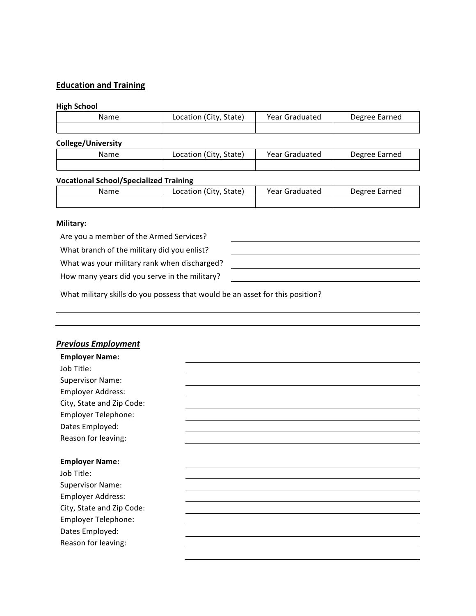### **Education and Training**

#### **High School**

| Name | Location (City, State) | Year Graduated | Degree Earned |
|------|------------------------|----------------|---------------|
|      |                        |                |               |

#### **College/University**

| Name<br>. | .<br>State)<br>r City.<br>Location | Year G<br>iraduated | Degree<br>Earned |
|-----------|------------------------------------|---------------------|------------------|
|           |                                    |                     |                  |

#### **Vocational School/Specialized Training**

| Name | Location (City, State) | <b>Year Graduated</b> | Degree Earned |
|------|------------------------|-----------------------|---------------|
|      |                        |                       |               |

#### **Military:**

Are you a member of the Armed Services?

What branch of the military did you enlist?

What was your military rank when discharged?

How many years did you serve in the military?

What military skills do you possess that would be an asset for this position?

## **Previous Employment Employer Name:** Job Title: Supervisor Name: Employer Address: City, State and Zip Code: Employer Telephone: Dates Employed: Reason for leaving: **Employer Name:**

Job Title: Supervisor Name: Employer Address: City, State and Zip Code: Employer Telephone: Dates Employed: Reason for leaving: